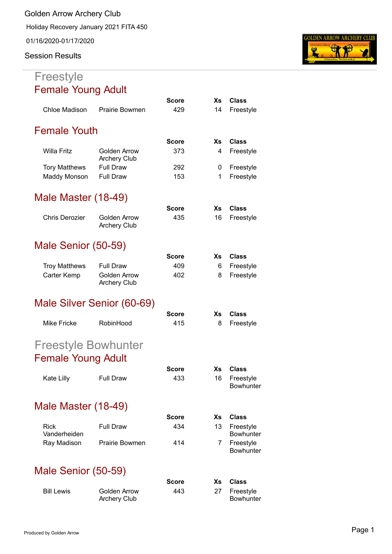**Golden Arrow Archery Club**

Holiday Recovery January 2021 FITA 450

01/16/2020-01/17/2020

#### **Session Results**

#### **Freestyle** Female Young Adult

|                             |                                            | Score        | Хs        | <b>Class</b>                  |
|-----------------------------|--------------------------------------------|--------------|-----------|-------------------------------|
| Chloe Madison               | Prairie Bowmen                             | 429          | 14        | Freestyle                     |
| <b>Female Youth</b>         |                                            |              |           |                               |
|                             |                                            | Score        | Xs        | <b>Class</b>                  |
| <b>Willa Fritz</b>          | <b>Golden Arrow</b><br><b>Archery Club</b> | 373          | 4         | Freestyle                     |
| <b>Tory Matthews</b>        | <b>Full Draw</b>                           | 292          | 0         | Freestyle                     |
| Maddy Monson                | <b>Full Draw</b>                           | 153          | 1         | Freestyle                     |
| Male Master (18-49)         |                                            |              |           |                               |
|                             |                                            | <b>Score</b> | Xs        | <b>Class</b>                  |
| <b>Chris Derozier</b>       | Golden Arrow<br><b>Archery Club</b>        | 435          | 16        | Freestyle                     |
| Male Senior (50-59)         |                                            |              |           |                               |
|                             |                                            | Score        | <b>Xs</b> | <b>Class</b>                  |
| <b>Troy Matthews</b>        | <b>Full Draw</b>                           | 409          | 6         | Freestyle                     |
| Carter Kemp                 | <b>Golden Arrow</b><br><b>Archery Club</b> | 402          | 8         | Freestyle                     |
|                             | Male Silver Senior (60-69)                 |              |           |                               |
|                             |                                            | Score        | Xs        | <b>Class</b>                  |
| <b>Mike Fricke</b>          | RobinHood                                  | 415          | 8         | Freestyle                     |
| <b>Freestyle Bowhunter</b>  |                                            |              |           |                               |
| <b>Female Young Adult</b>   |                                            |              |           |                               |
|                             |                                            | Score        | <b>Xs</b> | Class                         |
| Kate Lilly                  | <b>Full Draw</b>                           | 433          | 16        | Freestyle<br><b>Bowhunter</b> |
| Male Master (18-49)         |                                            |              |           |                               |
|                             |                                            | Score        | Xs        | Class                         |
| <b>Rick</b><br>Vanderheiden | <b>Full Draw</b>                           | 434          | 13        | Freestyle<br><b>Bowhunter</b> |
| Ray Madison                 | <b>Prairie Bowmen</b>                      | 414          | 7         | Freestyle<br><b>Bowhunter</b> |
| Male Senior (50-59)         |                                            |              |           |                               |
|                             |                                            | Score        | <b>Xs</b> | Class                         |
| <b>Bill Lewis</b>           | Golden Arrow                               | 443          | 27        | Freestyle                     |

Archery Club



Bowhunter